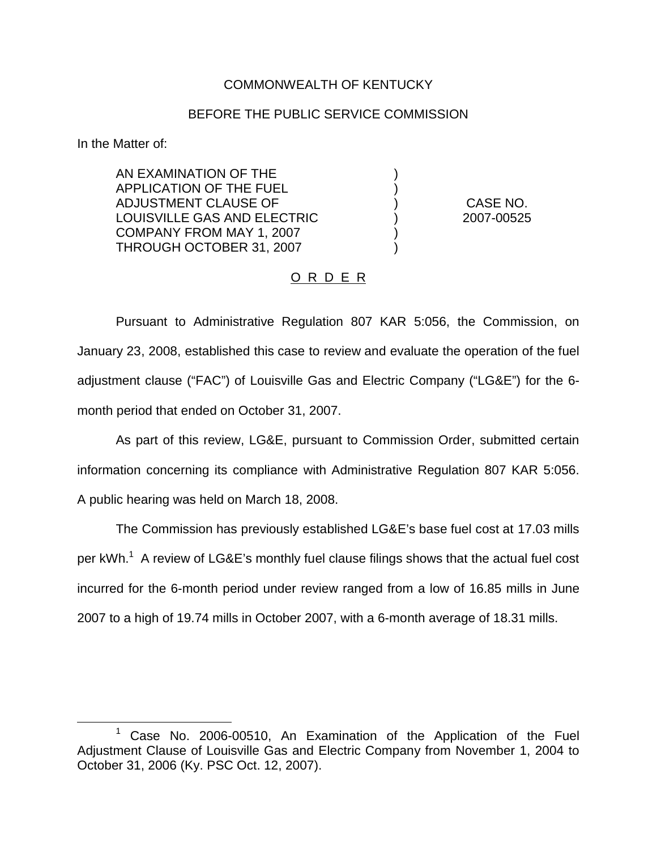## COMMONWEALTH OF KENTUCKY

## BEFORE THE PUBLIC SERVICE COMMISSION

) )

) )

In the Matter of:

AN EXAMINATION OF THE APPLICATION OF THE FUEL ADJUSTMENT CLAUSE OF LOUISVILLE GAS AND ELECTRIC COMPANY FROM MAY 1, 2007 THROUGH OCTOBER 31, 2007

) CASE NO. ) 2007-00525

## O R D E R

Pursuant to Administrative Regulation 807 KAR 5:056, the Commission, on January 23, 2008, established this case to review and evaluate the operation of the fuel adjustment clause ("FAC") of Louisville Gas and Electric Company ("LG&E") for the 6 month period that ended on October 31, 2007.

As part of this review, LG&E, pursuant to Commission Order, submitted certain information concerning its compliance with Administrative Regulation 807 KAR 5:056. A public hearing was held on March 18, 2008.

The Commission has previously established LG&E's base fuel cost at 17.03 mills per kWh.<sup>1</sup> A review of LG&E's monthly fuel clause filings shows that the actual fuel cost incurred for the 6-month period under review ranged from a low of 16.85 mills in June 2007 to a high of 19.74 mills in October 2007, with a 6-month average of 18.31 mills.

 $1$  Case No. 2006-00510, An Examination of the Application of the Fuel Adjustment Clause of Louisville Gas and Electric Company from November 1, 2004 to October 31, 2006 (Ky. PSC Oct. 12, 2007).